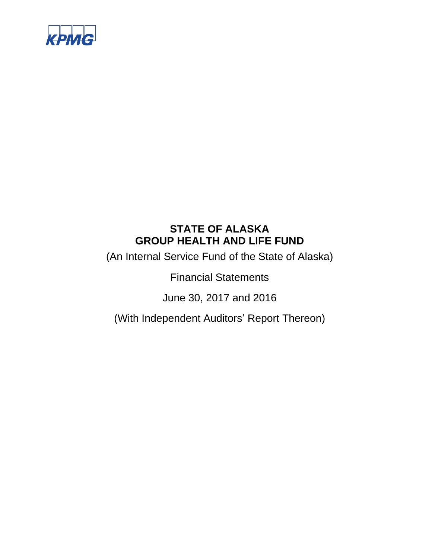

(An Internal Service Fund of the State of Alaska)

Financial Statements

June 30, 2017 and 2016

(With Independent Auditors' Report Thereon)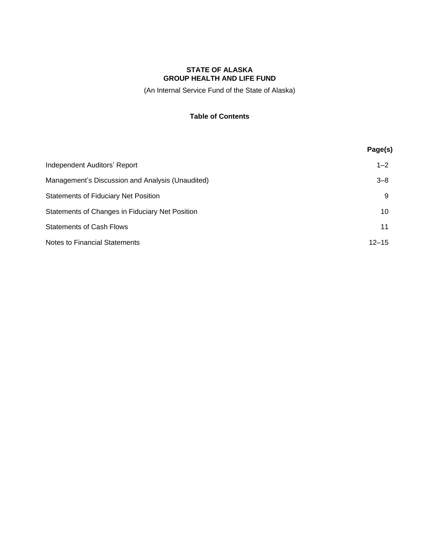(An Internal Service Fund of the State of Alaska)

# **Table of Contents**

|                                                  | Page(s)   |
|--------------------------------------------------|-----------|
| Independent Auditors' Report                     | $1 - 2$   |
| Management's Discussion and Analysis (Unaudited) | $3 - 8$   |
| <b>Statements of Fiduciary Net Position</b>      | 9         |
| Statements of Changes in Fiduciary Net Position  | 10        |
| <b>Statements of Cash Flows</b>                  | 11        |
| Notes to Financial Statements                    | $12 - 15$ |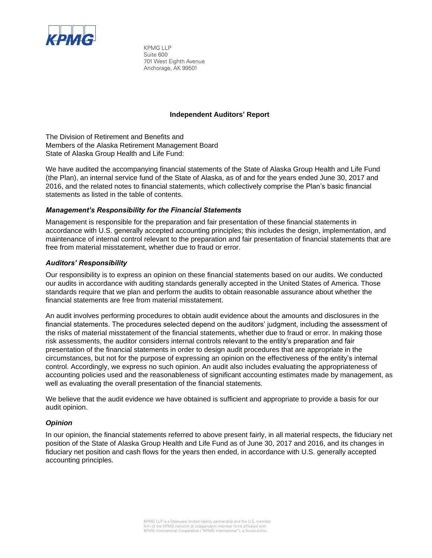

KPMG LLP Suite 600 701 West Eighth Avenue Anchorage, AK 99501

### **Independent Auditors' Report**

The Division of Retirement and Benefits and Members of the Alaska Retirement Management Board State of Alaska Group Health and Life Fund:

We have audited the accompanying financial statements of the State of Alaska Group Health and Life Fund (the Plan), an internal service fund of the State of Alaska, as of and for the years ended June 30, 2017 and 2016, and the related notes to financial statements, which collectively comprise the Plan's basic financial statements as listed in the table of contents.

### *Management's Responsibility for the Financial Statements*

Management is responsible for the preparation and fair presentation of these financial statements in accordance with U.S. generally accepted accounting principles; this includes the design, implementation, and maintenance of internal control relevant to the preparation and fair presentation of financial statements that are free from material misstatement, whether due to fraud or error.

### *Auditors' Responsibility*

Our responsibility is to express an opinion on these financial statements based on our audits. We conducted our audits in accordance with auditing standards generally accepted in the United States of America. Those standards require that we plan and perform the audits to obtain reasonable assurance about whether the financial statements are free from material misstatement.

An audit involves performing procedures to obtain audit evidence about the amounts and disclosures in the financial statements. The procedures selected depend on the auditors' judgment, including the assessment of the risks of material misstatement of the financial statements, whether due to fraud or error. In making those risk assessments, the auditor considers internal controls relevant to the entity's preparation and fair presentation of the financial statements in order to design audit procedures that are appropriate in the circumstances, but not for the purpose of expressing an opinion on the effectiveness of the entity's internal control. Accordingly, we express no such opinion. An audit also includes evaluating the appropriateness of accounting policies used and the reasonableness of significant accounting estimates made by management, as well as evaluating the overall presentation of the financial statements.

We believe that the audit evidence we have obtained is sufficient and appropriate to provide a basis for our audit opinion.

### *Opinion*

In our opinion, the financial statements referred to above present fairly, in all material respects, the fiduciary net position of the State of Alaska Group Health and Life Fund as of June 30, 2017 and 2016, and its changes in fiduciary net position and cash flows for the years then ended, in accordance with U.S. generally accepted accounting principles.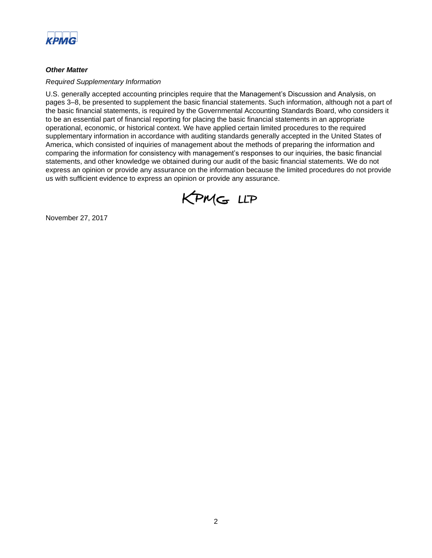

### *Other Matter*

### *Required Supplementary Information*

U.S. generally accepted accounting principles require that the Management's Discussion and Analysis, on pages 3–8, be presented to supplement the basic financial statements. Such information, although not a part of the basic financial statements, is required by the Governmental Accounting Standards Board, who considers it to be an essential part of financial reporting for placing the basic financial statements in an appropriate operational, economic, or historical context. We have applied certain limited procedures to the required supplementary information in accordance with auditing standards generally accepted in the United States of America, which consisted of inquiries of management about the methods of preparing the information and comparing the information for consistency with management's responses to our inquiries, the basic financial statements, and other knowledge we obtained during our audit of the basic financial statements. We do not express an opinion or provide any assurance on the information because the limited procedures do not provide us with sufficient evidence to express an opinion or provide any assurance.



November 27, 2017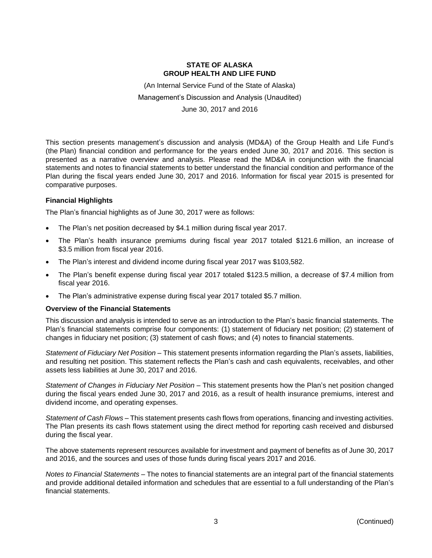(An Internal Service Fund of the State of Alaska) Management's Discussion and Analysis (Unaudited) June 30, 2017 and 2016

This section presents management's discussion and analysis (MD&A) of the Group Health and Life Fund's (the Plan) financial condition and performance for the years ended June 30, 2017 and 2016. This section is presented as a narrative overview and analysis. Please read the MD&A in conjunction with the financial statements and notes to financial statements to better understand the financial condition and performance of the Plan during the fiscal years ended June 30, 2017 and 2016. Information for fiscal year 2015 is presented for comparative purposes.

### **Financial Highlights**

The Plan's financial highlights as of June 30, 2017 were as follows:

- The Plan's net position decreased by \$4.1 million during fiscal year 2017.
- The Plan's health insurance premiums during fiscal year 2017 totaled \$121.6 million, an increase of \$3.5 million from fiscal year 2016.
- The Plan's interest and dividend income during fiscal year 2017 was \$103,582.
- The Plan's benefit expense during fiscal year 2017 totaled \$123.5 million, a decrease of \$7.4 million from fiscal year 2016.
- The Plan's administrative expense during fiscal year 2017 totaled \$5.7 million.

### **Overview of the Financial Statements**

This discussion and analysis is intended to serve as an introduction to the Plan's basic financial statements. The Plan's financial statements comprise four components: (1) statement of fiduciary net position; (2) statement of changes in fiduciary net position; (3) statement of cash flows; and (4) notes to financial statements.

*Statement of Fiduciary Net Position* – This statement presents information regarding the Plan's assets, liabilities, and resulting net position. This statement reflects the Plan's cash and cash equivalents, receivables, and other assets less liabilities at June 30, 2017 and 2016.

*Statement of Changes in Fiduciary Net Position* – This statement presents how the Plan's net position changed during the fiscal years ended June 30, 2017 and 2016, as a result of health insurance premiums, interest and dividend income, and operating expenses.

*Statement of Cash Flows* – This statement presents cash flows from operations, financing and investing activities. The Plan presents its cash flows statement using the direct method for reporting cash received and disbursed during the fiscal year.

The above statements represent resources available for investment and payment of benefits as of June 30, 2017 and 2016, and the sources and uses of those funds during fiscal years 2017 and 2016.

*Notes to Financial Statements* – The notes to financial statements are an integral part of the financial statements and provide additional detailed information and schedules that are essential to a full understanding of the Plan's financial statements.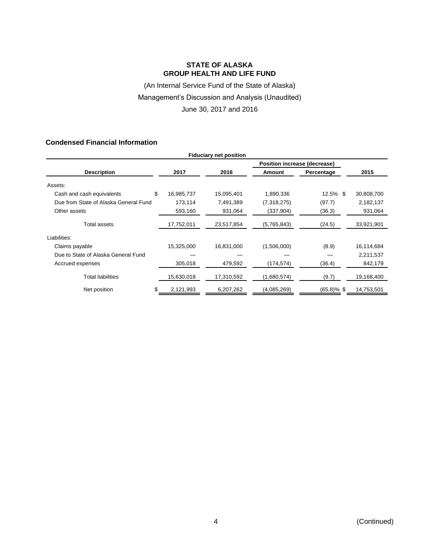(An Internal Service Fund of the State of Alaska)

Management's Discussion and Analysis (Unaudited)

June 30, 2017 and 2016

### **Condensed Financial Information**

| <b>Fiduciary net position</b>         |            |            |                              |               |            |  |  |
|---------------------------------------|------------|------------|------------------------------|---------------|------------|--|--|
|                                       |            |            | Position increase (decrease) |               |            |  |  |
| <b>Description</b>                    | 2017       | 2016       | Amount                       | Percentage    | 2015       |  |  |
| Assets:                               |            |            |                              |               |            |  |  |
| \$<br>Cash and cash equivalents       | 16,985,737 | 15,095,401 | 1,890,336                    | $12.5\%$ \$   | 30,808,700 |  |  |
| Due from State of Alaska General Fund | 173,114    | 7,491,389  | (7,318,275)                  | (97.7)        | 2,182,137  |  |  |
| Other assets                          | 593,160    | 931,064    | (337,904)                    | (36.3)        | 931,064    |  |  |
| Total assets                          | 17,752,011 | 23,517,854 | (5,765,843)                  | (24.5)        | 33,921,901 |  |  |
| Liabilities:                          |            |            |                              |               |            |  |  |
| Claims payable                        | 15,325,000 | 16,831,000 | (1,506,000)                  | (8.9)         | 16,114,684 |  |  |
| Due to State of Alaska General Fund   |            |            |                              |               | 2,211,537  |  |  |
| Accrued expenses                      | 305,018    | 479,592    | (174,574)                    | (36.4)        | 842,179    |  |  |
| Total liabilities                     | 15,630,018 | 17,310,592 | (1,680,574)                  | (9.7)         | 19,168,400 |  |  |
| \$<br>Net position                    | 2,121,993  | 6,207,262  | (4,085,269)                  | $(65.8)\%$ \$ | 14,753,501 |  |  |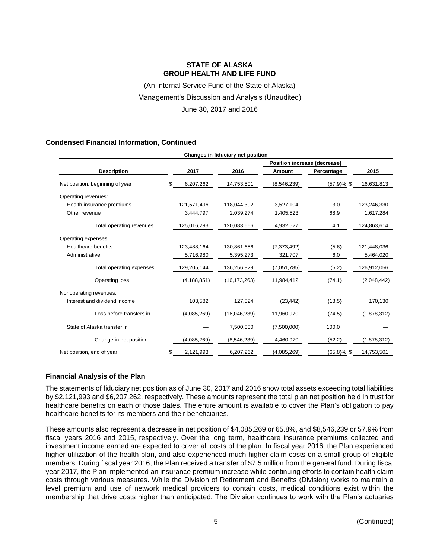(An Internal Service Fund of the State of Alaska)

Management's Discussion and Analysis (Unaudited)

June 30, 2017 and 2016

### **Condensed Financial Information, Continued**

| Changes in fiduciary net position |    |               |                |               |              |             |  |
|-----------------------------------|----|---------------|----------------|---------------|--------------|-------------|--|
| Position increase (decrease)      |    |               |                |               |              |             |  |
| <b>Description</b>                |    | 2017          | 2016           | Amount        | Percentage   | 2015        |  |
| Net position, beginning of year   | \$ | 6,207,262     | 14,753,501     | (8,546,239)   | $(57.9)%$ \$ | 16,631,813  |  |
| Operating revenues:               |    |               |                |               |              |             |  |
| Health insurance premiums         |    | 121,571,496   | 118,044,392    | 3,527,104     | 3.0          | 123,246,330 |  |
| Other revenue                     |    | 3,444,797     | 2,039,274      | 1,405,523     | 68.9         | 1,617,284   |  |
| Total operating revenues          |    | 125,016,293   | 120,083,666    | 4,932,627     | 4.1          | 124,863,614 |  |
| Operating expenses:               |    |               |                |               |              |             |  |
| <b>Healthcare benefits</b>        |    | 123,488,164   | 130,861,656    | (7, 373, 492) | (5.6)        | 121,448,036 |  |
| Administrative                    |    | 5,716,980     | 5,395,273      | 321,707       | 6.0          | 5,464,020   |  |
| Total operating expenses          |    | 129,205,144   | 136,256,929    | (7,051,785)   | (5.2)        | 126,912,056 |  |
| Operating loss                    |    | (4, 188, 851) | (16, 173, 263) | 11,984,412    | (74.1)       | (2,048,442) |  |
| Nonoperating revenues:            |    |               |                |               |              |             |  |
| Interest and dividend income      |    | 103,582       | 127,024        | (23, 442)     | (18.5)       | 170,130     |  |
| Loss before transfers in          |    | (4,085,269)   | (16,046,239)   | 11,960,970    | (74.5)       | (1,878,312) |  |
| State of Alaska transfer in       |    |               | 7,500,000      | (7,500,000)   | 100.0        |             |  |
| Change in net position            |    | (4,085,269)   | (8,546,239)    | 4,460,970     | (52.2)       | (1,878,312) |  |
| Net position, end of year         | \$ | 2,121,993     | 6,207,262      | (4,085,269)   | $(65.8)$ %\$ | 14,753,501  |  |

### **Financial Analysis of the Plan**

The statements of fiduciary net position as of June 30, 2017 and 2016 show total assets exceeding total liabilities by \$2,121,993 and \$6,207,262, respectively. These amounts represent the total plan net position held in trust for healthcare benefits on each of those dates. The entire amount is available to cover the Plan's obligation to pay healthcare benefits for its members and their beneficiaries.

These amounts also represent a decrease in net position of \$4,085,269 or 65.8%, and \$8,546,239 or 57.9% from fiscal years 2016 and 2015, respectively. Over the long term, healthcare insurance premiums collected and investment income earned are expected to cover all costs of the plan. In fiscal year 2016, the Plan experienced higher utilization of the health plan, and also experienced much higher claim costs on a small group of eligible members. During fiscal year 2016, the Plan received a transfer of \$7.5 million from the general fund. During fiscal year 2017, the Plan implemented an insurance premium increase while continuing efforts to contain health claim costs through various measures. While the Division of Retirement and Benefits (Division) works to maintain a level premium and use of network medical providers to contain costs, medical conditions exist within the membership that drive costs higher than anticipated. The Division continues to work with the Plan's actuaries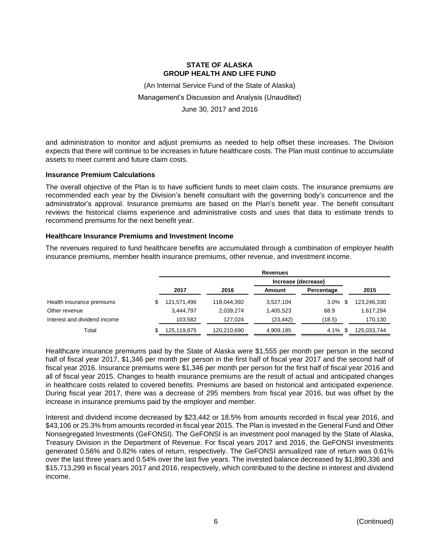(An Internal Service Fund of the State of Alaska)

Management's Discussion and Analysis (Unaudited)

June 30, 2017 and 2016

and administration to monitor and adjust premiums as needed to help offset these increases. The Division expects that there will continue to be increases in future healthcare costs. The Plan must continue to accumulate assets to meet current and future claim costs.

### **Insurance Premium Calculations**

The overall objective of the Plan is to have sufficient funds to meet claim costs. The insurance premiums are recommended each year by the Division's benefit consultant with the governing body's concurrence and the administrator's approval. Insurance premiums are based on the Plan's benefit year. The benefit consultant reviews the historical claims experience and administrative costs and uses that data to estimate trends to recommend premiums for the next benefit year.

### **Healthcare Insurance Premiums and Investment Income**

The revenues required to fund healthcare benefits are accumulated through a combination of employer health insurance premiums, member health insurance premiums, other revenue, and investment income.

|                              | <b>Revenues</b> |                     |           |               |             |  |  |  |
|------------------------------|-----------------|---------------------|-----------|---------------|-------------|--|--|--|
|                              |                 | Increase (decrease) |           |               |             |  |  |  |
|                              | 2017            | 2016                | Amount    | Percentage    | 2015        |  |  |  |
| Health insurance premiums    | 121,571,496     | 118,044,392         | 3,527,104 | $3.0\%$<br>-S | 123,246,330 |  |  |  |
| Other revenue                | 3.444.797       | 2.039.274           | 1,405,523 | 68.9          | 1,617,284   |  |  |  |
| Interest and dividend income | 103,582         | 127.024             | (23, 442) | (18.5)        | 170,130     |  |  |  |
| Total                        | 125,119,875     | 120,210,690         | 4,909,185 | 4.1%          | 125,033,744 |  |  |  |

Healthcare insurance premiums paid by the State of Alaska were \$1,555 per month per person in the second half of fiscal year 2017, \$1,346 per month per person in the first half of fiscal year 2017 and the second half of fiscal year 2016. Insurance premiums were \$1,346 per month per person for the first half of fiscal year 2016 and all of fiscal year 2015. Changes to health insurance premiums are the result of actual and anticipated changes in healthcare costs related to covered benefits. Premiums are based on historical and anticipated experience. During fiscal year 2017, there was a decrease of 295 members from fiscal year 2016, but was offset by the increase in insurance premiums paid by the employer and member.

Interest and dividend income decreased by \$23,442 or 18.5% from amounts recorded in fiscal year 2016, and \$43,106 or 25.3% from amounts recorded in fiscal year 2015. The Plan is invested in the General Fund and Other Nonsegregated Investments (GeFONSI). The GeFONSI is an investment pool managed by the State of Alaska, Treasury Division in the Department of Revenue. For fiscal years 2017 and 2016, the GeFONSI investments generated 0.56% and 0.82% rates of return, respectively. The GeFONSI annualized rate of return was 0.61% over the last three years and 0.54% over the last five years. The invested balance decreased by \$1,890,336 and \$15,713,299 in fiscal years 2017 and 2016, respectively, which contributed to the decline in interest and dividend income.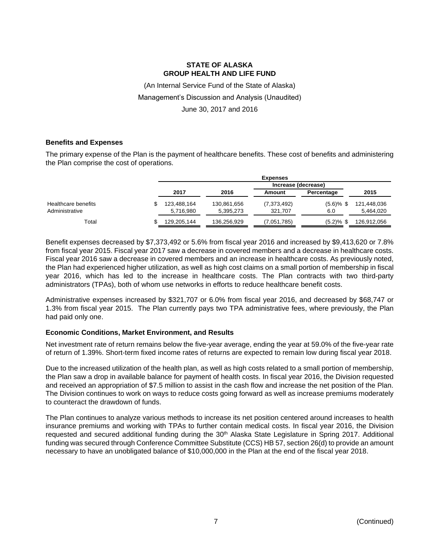(An Internal Service Fund of the State of Alaska)

Management's Discussion and Analysis (Unaudited)

June 30, 2017 and 2016

### **Benefits and Expenses**

The primary expense of the Plan is the payment of healthcare benefits. These cost of benefits and administering the Plan comprise the cost of operations.

|                     | <b>Expenses</b> |                     |             |               |             |  |  |
|---------------------|-----------------|---------------------|-------------|---------------|-------------|--|--|
|                     |                 | Increase (decrease) |             |               |             |  |  |
|                     | 2017            | 2016                | Amount      | Percentage    | 2015        |  |  |
| Healthcare benefits | 123,488,164     | 130,861,656         | (7,373,492) | $(5.6) \%$ \$ | 121,448,036 |  |  |
| Administrative      | 5,716,980       | 5,395,273           | 321,707     | 6.0           | 5,464,020   |  |  |
| Total               | 129,205,144     | 136,256,929         | (7,051,785) | $(5.2) \%$ \$ | 126,912,056 |  |  |

Benefit expenses decreased by \$7,373,492 or 5.6% from fiscal year 2016 and increased by \$9,413,620 or 7.8% from fiscal year 2015. Fiscal year 2017 saw a decrease in covered members and a decrease in healthcare costs. Fiscal year 2016 saw a decrease in covered members and an increase in healthcare costs. As previously noted, the Plan had experienced higher utilization, as well as high cost claims on a small portion of membership in fiscal year 2016, which has led to the increase in healthcare costs. The Plan contracts with two third-party administrators (TPAs), both of whom use networks in efforts to reduce healthcare benefit costs.

Administrative expenses increased by \$321,707 or 6.0% from fiscal year 2016, and decreased by \$68,747 or 1.3% from fiscal year 2015. The Plan currently pays two TPA administrative fees, where previously, the Plan had paid only one.

### **Economic Conditions, Market Environment, and Results**

Net investment rate of return remains below the five-year average, ending the year at 59.0% of the five-year rate of return of 1.39%. Short-term fixed income rates of returns are expected to remain low during fiscal year 2018.

Due to the increased utilization of the health plan, as well as high costs related to a small portion of membership, the Plan saw a drop in available balance for payment of health costs. In fiscal year 2016, the Division requested and received an appropriation of \$7.5 million to assist in the cash flow and increase the net position of the Plan. The Division continues to work on ways to reduce costs going forward as well as increase premiums moderately to counteract the drawdown of funds.

The Plan continues to analyze various methods to increase its net position centered around increases to health insurance premiums and working with TPAs to further contain medical costs. In fiscal year 2016, the Division requested and secured additional funding during the 30<sup>th</sup> Alaska State Legislature in Spring 2017. Additional funding was secured through Conference Committee Substitute (CCS) HB 57, section 26(d) to provide an amount necessary to have an unobligated balance of \$10,000,000 in the Plan at the end of the fiscal year 2018.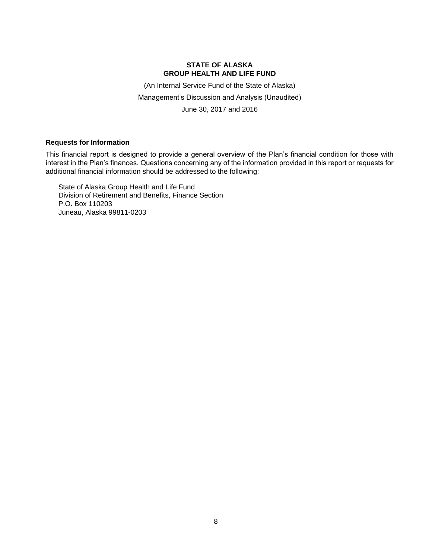(An Internal Service Fund of the State of Alaska)

Management's Discussion and Analysis (Unaudited)

June 30, 2017 and 2016

### **Requests for Information**

This financial report is designed to provide a general overview of the Plan's financial condition for those with interest in the Plan's finances. Questions concerning any of the information provided in this report or requests for additional financial information should be addressed to the following:

State of Alaska Group Health and Life Fund Division of Retirement and Benefits, Finance Section P.O. Box 110203 Juneau, Alaska 99811-0203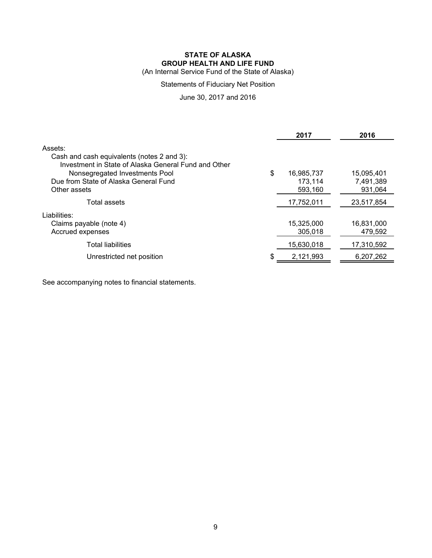(An Internal Service Fund of the State of Alaska)

# Statements of Fiduciary Net Position

June 30, 2017 and 2016

|                                                                                                                                      | 2017             | 2016       |
|--------------------------------------------------------------------------------------------------------------------------------------|------------------|------------|
| Assets:                                                                                                                              |                  |            |
| Cash and cash equivalents (notes 2 and 3):<br>Investment in State of Alaska General Fund and Other<br>Nonsegregated Investments Pool | \$<br>16,985,737 | 15,095,401 |
| Due from State of Alaska General Fund                                                                                                | 173,114          | 7,491,389  |
| Other assets                                                                                                                         | 593,160          | 931,064    |
| Total assets                                                                                                                         | 17,752,011       | 23,517,854 |
| Liabilities:                                                                                                                         |                  |            |
| Claims payable (note 4)                                                                                                              | 15,325,000       | 16,831,000 |
| Accrued expenses                                                                                                                     | 305.018          | 479,592    |
| <b>Total liabilities</b>                                                                                                             | 15.630.018       | 17,310,592 |
| Unrestricted net position                                                                                                            | \$<br>2,121,993  | 6,207,262  |
|                                                                                                                                      |                  |            |

See accompanying notes to financial statements.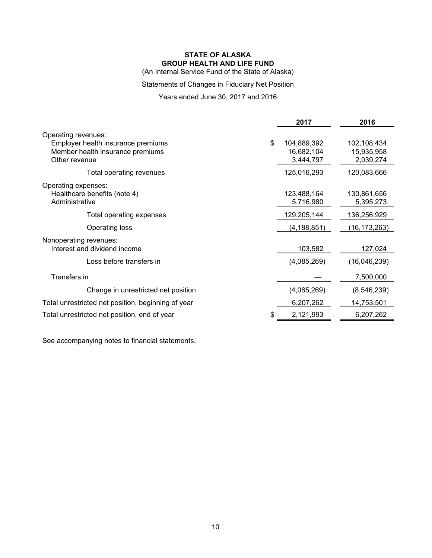(An Internal Service Fund of the State of Alaska)

# Statements of Changes in Fiduciary Net Position

### Years ended June 30, 2017 and 2016

|                                                                                                                | 2017                                         | 2016                                   |
|----------------------------------------------------------------------------------------------------------------|----------------------------------------------|----------------------------------------|
| Operating revenues:<br>Employer health insurance premiums<br>Member health insurance premiums<br>Other revenue | \$<br>104,889,392<br>16,682,104<br>3,444,797 | 102,108,434<br>15,935,958<br>2,039,274 |
| Total operating revenues                                                                                       | 125,016,293                                  | 120,083,666                            |
| Operating expenses:<br>Healthcare benefits (note 4)<br>Administrative                                          | 123,488,164<br>5,716,980                     | 130,861,656<br>5,395,273               |
| Total operating expenses                                                                                       | 129,205,144                                  | 136,256,929                            |
| Operating loss                                                                                                 | (4, 188, 851)                                | (16,173,263)                           |
| Nonoperating revenues:<br>Interest and dividend income                                                         | 103,582                                      | 127,024                                |
| Loss before transfers in                                                                                       | (4,085,269)                                  | (16,046,239)                           |
| Transfers in                                                                                                   |                                              | 7,500,000                              |
| Change in unrestricted net position                                                                            | (4,085,269)                                  | (8, 546, 239)                          |
| Total unrestricted net position, beginning of year                                                             | 6,207,262                                    | 14,753,501                             |
| Total unrestricted net position, end of year                                                                   | 2,121,993                                    | 6,207,262                              |
|                                                                                                                |                                              |                                        |

See accompanying notes to financial statements.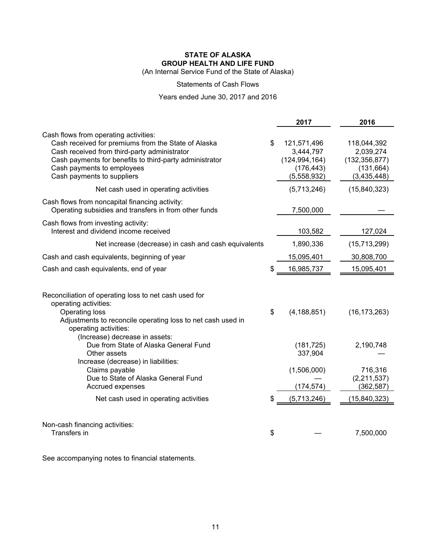(An Internal Service Fund of the State of Alaska)

Statements of Cash Flows

# Years ended June 30, 2017 and 2016

|                                                                                                                                                                                                                                                                     | 2017                                                                           | 2016                                                                     |
|---------------------------------------------------------------------------------------------------------------------------------------------------------------------------------------------------------------------------------------------------------------------|--------------------------------------------------------------------------------|--------------------------------------------------------------------------|
| Cash flows from operating activities:<br>Cash received for premiums from the State of Alaska<br>Cash received from third-party administrator<br>Cash payments for benefits to third-party administrator<br>Cash payments to employees<br>Cash payments to suppliers | \$<br>121,571,496<br>3,444,797<br>(124, 994, 164)<br>(176, 443)<br>(5,558,932) | 118,044,392<br>2,039,274<br>(132, 356, 877)<br>(131, 664)<br>(3,435,448) |
| Net cash used in operating activities                                                                                                                                                                                                                               | (5,713,246)                                                                    | (15, 840, 323)                                                           |
| Cash flows from noncapital financing activity:<br>Operating subsidies and transfers in from other funds                                                                                                                                                             | 7,500,000                                                                      |                                                                          |
| Cash flows from investing activity:<br>Interest and dividend income received                                                                                                                                                                                        | 103,582                                                                        | 127,024                                                                  |
| Net increase (decrease) in cash and cash equivalents                                                                                                                                                                                                                | 1,890,336                                                                      | (15, 713, 299)                                                           |
| Cash and cash equivalents, beginning of year                                                                                                                                                                                                                        | 15,095,401                                                                     | 30,808,700                                                               |
| Cash and cash equivalents, end of year                                                                                                                                                                                                                              | \$<br>16,985,737                                                               | 15,095,401                                                               |
| Reconciliation of operating loss to net cash used for<br>operating activities:<br><b>Operating loss</b><br>Adjustments to reconcile operating loss to net cash used in<br>operating activities:<br>(Increase) decrease in assets:                                   | \$<br>(4, 188, 851)                                                            | (16, 173, 263)                                                           |
| Due from State of Alaska General Fund<br>Other assets<br>Increase (decrease) in liabilities:                                                                                                                                                                        | (181, 725)<br>337,904                                                          | 2,190,748                                                                |
| Claims payable<br>Due to State of Alaska General Fund<br>Accrued expenses                                                                                                                                                                                           | (1,506,000)<br>(174, 574)                                                      | 716,316<br>(2,211,537)<br>(362, 587)                                     |
| Net cash used in operating activities                                                                                                                                                                                                                               | (5,713,246)                                                                    | (15, 840, 323)                                                           |
| Non-cash financing activities:<br>Transfers in                                                                                                                                                                                                                      | \$                                                                             | 7,500,000                                                                |

See accompanying notes to financial statements.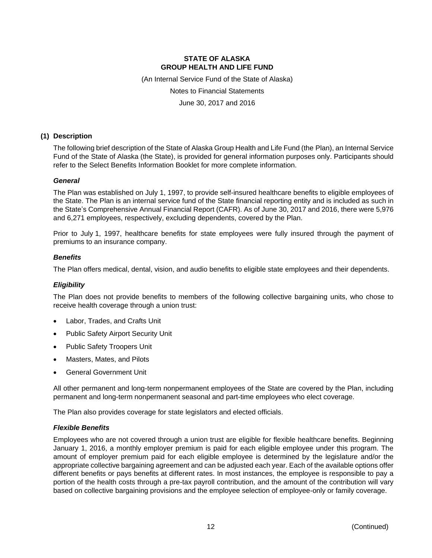(An Internal Service Fund of the State of Alaska)

Notes to Financial Statements

June 30, 2017 and 2016

### **(1) Description**

The following brief description of the State of Alaska Group Health and Life Fund (the Plan), an Internal Service Fund of the State of Alaska (the State), is provided for general information purposes only. Participants should refer to the Select Benefits Information Booklet for more complete information.

### *General*

The Plan was established on July 1, 1997, to provide self-insured healthcare benefits to eligible employees of the State. The Plan is an internal service fund of the State financial reporting entity and is included as such in the State's Comprehensive Annual Financial Report (CAFR). As of June 30, 2017 and 2016, there were 5,976 and 6,271 employees, respectively, excluding dependents, covered by the Plan.

Prior to July 1, 1997, healthcare benefits for state employees were fully insured through the payment of premiums to an insurance company.

### *Benefits*

The Plan offers medical, dental, vision, and audio benefits to eligible state employees and their dependents.

### *Eligibility*

The Plan does not provide benefits to members of the following collective bargaining units, who chose to receive health coverage through a union trust:

- Labor, Trades, and Crafts Unit
- Public Safety Airport Security Unit
- Public Safety Troopers Unit
- Masters, Mates, and Pilots
- General Government Unit

All other permanent and long-term nonpermanent employees of the State are covered by the Plan, including permanent and long-term nonpermanent seasonal and part-time employees who elect coverage.

The Plan also provides coverage for state legislators and elected officials.

### *Flexible Benefits*

Employees who are not covered through a union trust are eligible for flexible healthcare benefits. Beginning January 1, 2016, a monthly employer premium is paid for each eligible employee under this program. The amount of employer premium paid for each eligible employee is determined by the legislature and/or the appropriate collective bargaining agreement and can be adjusted each year. Each of the available options offer different benefits or pays benefits at different rates. In most instances, the employee is responsible to pay a portion of the health costs through a pre-tax payroll contribution, and the amount of the contribution will vary based on collective bargaining provisions and the employee selection of employee-only or family coverage.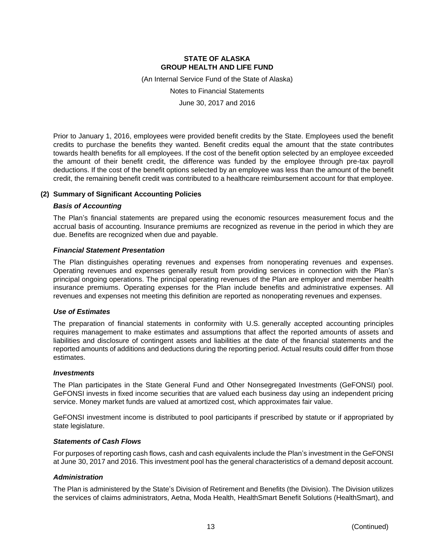(An Internal Service Fund of the State of Alaska)

Notes to Financial Statements

June 30, 2017 and 2016

Prior to January 1, 2016, employees were provided benefit credits by the State. Employees used the benefit credits to purchase the benefits they wanted. Benefit credits equal the amount that the state contributes towards health benefits for all employees. If the cost of the benefit option selected by an employee exceeded the amount of their benefit credit, the difference was funded by the employee through pre-tax payroll deductions. If the cost of the benefit options selected by an employee was less than the amount of the benefit credit, the remaining benefit credit was contributed to a healthcare reimbursement account for that employee.

### **(2) Summary of Significant Accounting Policies**

### *Basis of Accounting*

The Plan's financial statements are prepared using the economic resources measurement focus and the accrual basis of accounting. Insurance premiums are recognized as revenue in the period in which they are due. Benefits are recognized when due and payable.

### *Financial Statement Presentation*

The Plan distinguishes operating revenues and expenses from nonoperating revenues and expenses. Operating revenues and expenses generally result from providing services in connection with the Plan's principal ongoing operations. The principal operating revenues of the Plan are employer and member health insurance premiums. Operating expenses for the Plan include benefits and administrative expenses. All revenues and expenses not meeting this definition are reported as nonoperating revenues and expenses.

### *Use of Estimates*

The preparation of financial statements in conformity with U.S. generally accepted accounting principles requires management to make estimates and assumptions that affect the reported amounts of assets and liabilities and disclosure of contingent assets and liabilities at the date of the financial statements and the reported amounts of additions and deductions during the reporting period. Actual results could differ from those estimates.

### *Investments*

The Plan participates in the State General Fund and Other Nonsegregated Investments (GeFONSI) pool. GeFONSI invests in fixed income securities that are valued each business day using an independent pricing service. Money market funds are valued at amortized cost, which approximates fair value.

GeFONSI investment income is distributed to pool participants if prescribed by statute or if appropriated by state legislature.

### *Statements of Cash Flows*

For purposes of reporting cash flows, cash and cash equivalents include the Plan's investment in the GeFONSI at June 30, 2017 and 2016. This investment pool has the general characteristics of a demand deposit account.

### *Administration*

The Plan is administered by the State's Division of Retirement and Benefits (the Division). The Division utilizes the services of claims administrators, Aetna, Moda Health, HealthSmart Benefit Solutions (HealthSmart), and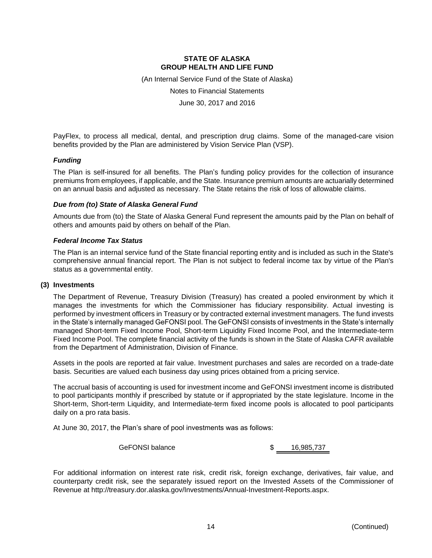(An Internal Service Fund of the State of Alaska)

Notes to Financial Statements

June 30, 2017 and 2016

PayFlex, to process all medical, dental, and prescription drug claims. Some of the managed-care vision benefits provided by the Plan are administered by Vision Service Plan (VSP).

### *Funding*

The Plan is self-insured for all benefits. The Plan's funding policy provides for the collection of insurance premiums from employees, if applicable, and the State. Insurance premium amounts are actuarially determined on an annual basis and adjusted as necessary. The State retains the risk of loss of allowable claims.

### *Due from (to) State of Alaska General Fund*

Amounts due from (to) the State of Alaska General Fund represent the amounts paid by the Plan on behalf of others and amounts paid by others on behalf of the Plan.

### *Federal Income Tax Status*

The Plan is an internal service fund of the State financial reporting entity and is included as such in the State's comprehensive annual financial report. The Plan is not subject to federal income tax by virtue of the Plan's status as a governmental entity.

### **(3) Investments**

The Department of Revenue, Treasury Division (Treasury) has created a pooled environment by which it manages the investments for which the Commissioner has fiduciary responsibility. Actual investing is performed by investment officers in Treasury or by contracted external investment managers. The fund invests in the State's internally managed GeFONSI pool. The GeFONSI consists of investments in the State's internally managed Short-term Fixed Income Pool, Short-term Liquidity Fixed Income Pool, and the Intermediate-term Fixed Income Pool. The complete financial activity of the funds is shown in the State of Alaska CAFR available from the Department of Administration, Division of Finance.

Assets in the pools are reported at fair value. Investment purchases and sales are recorded on a trade-date basis. Securities are valued each business day using prices obtained from a pricing service.

The accrual basis of accounting is used for investment income and GeFONSI investment income is distributed to pool participants monthly if prescribed by statute or if appropriated by the state legislature. Income in the Short-term, Short-term Liquidity, and Intermediate-term fixed income pools is allocated to pool participants daily on a pro rata basis.

At June 30, 2017, the Plan's share of pool investments was as follows:

GeFONSI balance \$ 16,985,737

For additional information on interest rate risk, credit risk, foreign exchange, derivatives, fair value, and counterparty credit risk, see the separately issued report on the Invested Assets of the Commissioner of Revenue at http://treasury.dor.alaska.gov/Investments/Annual-Investment-Reports.aspx.